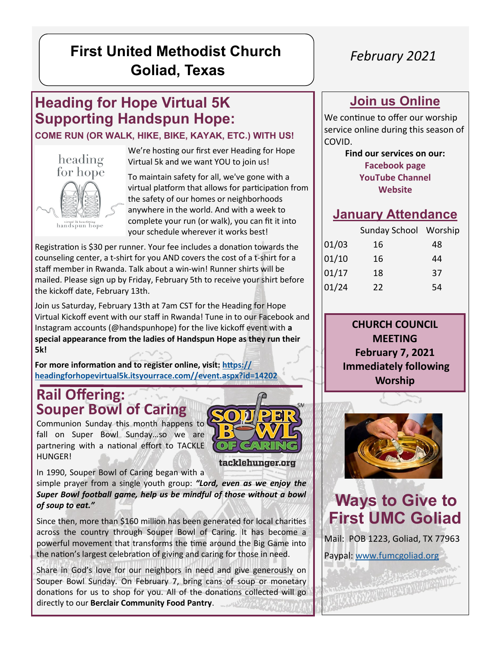## **First United Methodist Church Goliad, Texas**

## **Heading for Hope Virtual 5K Supporting Handspun Hope:**

#### **COME RUN (OR WALK, HIKE, BIKE, KAYAK, ETC.) WITH US!**



We're hosting our first ever Heading for Hope Virtual 5k and we want YOU to join us!

To maintain safety for all, we've gone with a virtual platform that allows for participation from the safety of our homes or neighborhoods anywhere in the world. And with a week to complete your run (or walk), you can fit it into your schedule wherever it works best!

Registration is \$30 per runner. Your fee includes a donation towards the counseling center, a t-shirt for you AND covers the cost of a t-shirt for a staff member in Rwanda. Talk about a win-win! Runner shirts will be mailed. Please sign up by Friday, February 5th to receive your shirt before the kickoff date, February 13th.

Join us Saturday, February 13th at 7am CST for the Heading for Hope Virtual Kickoff event with our staff in Rwanda! Tune in to our Facebook and Instagram accounts (@handspunhope) for the live kickoff event with **a special appearance from the ladies of Handspun Hope as they run their 5k!**

**For more information and to register online, visit: [https://](https://headingforhopevirtual5k.itsyourrace.com/event.aspx?id=14202) [headingforhopevirtual5k.itsyourrace.com//event.aspx?id=14202](https://headingforhopevirtual5k.itsyourrace.com/event.aspx?id=14202)**

#### **Rail Offering: Souper Bowl of Caring**

Communion Sunday this month happens to fall on Super Bowl Sunday…so we are partnering with a national effort to TACKLE HUNGER!



tacklehunger.org

In 1990, Souper Bowl of Caring began with a

simple prayer from a single youth group: *"Lord, even as we enjoy the Super Bowl football game, help us be mindful of those without a bowl of soup to eat."*

Since then, more than \$160 million has been generated for local charities across the country through Souper Bowl of Caring. It has become a powerful movement that transforms the time around the Big Game into the nation's largest celebration of giving and caring for those in need.

Share in God's love for our neighbors in need and give generously on Souper Bowl Sunday. On February 7, bring cans of soup or monetary donations for us to shop for you. All of the donations collected will go directly to our **Berclair Community Food Pantry**.

### *February 2021*

#### **Join us Online**

We continue to offer our worship service online during this season of COVID.

> **Find our services on our: [Facebook page](https://www.facebook.com/fumcgoliad) [YouTube Channel](https://www.youtube.com/channel/UCzHQVG9Rl3Y2cH9MXbrcGug)  [Website](https://www.fumcgoliad.org/)**

#### **January Attendance**

| Sunday School Worship |    |
|-----------------------|----|
| 16                    | 48 |
| 16                    | 44 |
| 18                    | 37 |
| 22                    | 54 |
|                       |    |

**CHURCH COUNCIL MEETING February 7, 2021 Immediately following Worship**



**Ways to Give to First UMC Goliad**

Mail: POB 1223, Goliad, TX 77963 Paypal: [www.fumcgoliad.org](https://www.fumcgoliad.org/donate-to-first-united-methodist-ch)

NEW YORK THE STATE OF THE CONTRACTOR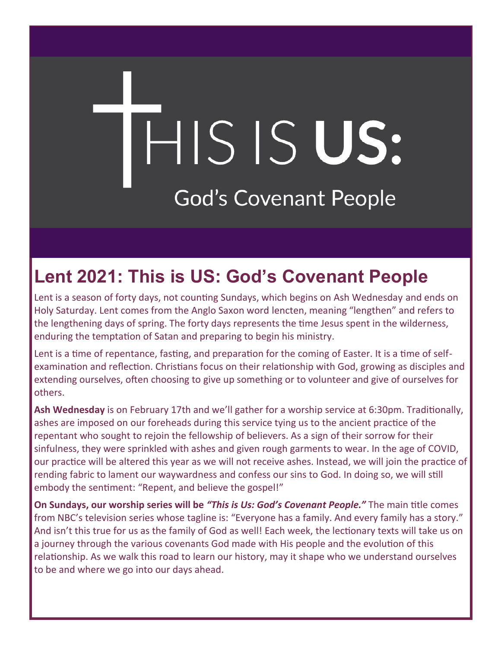# HIS IS US: **God's Covenant People**

# **Lent 2021: This is US: God's Covenant People**

Lent is a season of forty days, not counting Sundays, which begins on Ash Wednesday and ends on Holy Saturday. Lent comes from the Anglo Saxon word lencten, meaning "lengthen" and refers to the lengthening days of spring. The forty days represents the time Jesus spent in the wilderness, enduring the temptation of Satan and preparing to begin his ministry.

Lent is a time of repentance, fasting, and preparation for the coming of Easter. It is a time of selfexamination and reflection. Christians focus on their relationship with God, growing as disciples and extending ourselves, often choosing to give up something or to volunteer and give of ourselves for others.

**Ash Wednesday** is on February 17th and we'll gather for a worship service at 6:30pm. Traditionally, ashes are imposed on our foreheads during this service tying us to the ancient practice of the repentant who sought to rejoin the fellowship of believers. As a sign of their sorrow for their sinfulness, they were sprinkled with ashes and given rough garments to wear. In the age of COVID, our practice will be altered this year as we will not receive ashes. Instead, we will join the practice of rending fabric to lament our waywardness and confess our sins to God. In doing so, we will still embody the sentiment: "Repent, and believe the gospel!"

**On Sundays, our worship series will be** *"This is Us: God's Covenant People."* The main title comes from NBC's television series whose tagline is: "Everyone has a family. And every family has a story." And isn't this true for us as the family of God as well! Each week, the lectionary texts will take us on a journey through the various covenants God made with His people and the evolution of this relationship. As we walk this road to learn our history, may it shape who we understand ourselves to be and where we go into our days ahead.